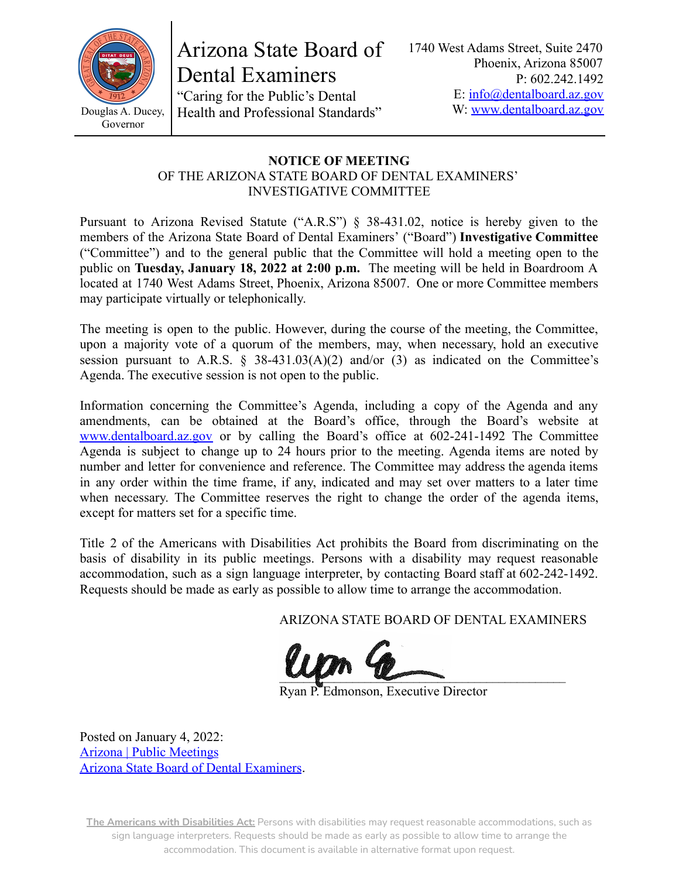

Arizona State Board of Dental Examiners

"Caring for the Public's Dental Health and Professional Standards" 1740 West Adams Street, Suite 2470 Phoenix, Arizona 85007 P: 602.242.1492 E: [info@dentalboard.az.gov](mailto:info@dentalboard.az.gov) W: [www.dentalboard.az.gov](https://dentalboard.az.gov/)

#### **NOTICE OF MEETING** OF THE ARIZONA STATE BOARD OF DENTAL EXAMINERS'

INVESTIGATIVE COMMITTEE

Pursuant to Arizona Revised Statute ("A.R.S") § 38-431.02, notice is hereby given to the members of the Arizona State Board of Dental Examiners' ("Board") **Investigative Committee** ("Committee") and to the general public that the Committee will hold a meeting open to the public on **Tuesday, January 18, 2022 at 2:00 p.m.** The meeting will be held in Boardroom A located at 1740 West Adams Street, Phoenix, Arizona 85007. One or more Committee members may participate virtually or telephonically.

The meeting is open to the public. However, during the course of the meeting, the Committee, upon a majority vote of a quorum of the members, may, when necessary, hold an executive session pursuant to A.R.S.  $\S$  38-431.03(A)(2) and/or (3) as indicated on the Committee's Agenda. The executive session is not open to the public.

Information concerning the Committee's Agenda, including a copy of the Agenda and any amendments, can be obtained at the Board's office, through the Board's website at [www.dentalboard.az.gov](https://dentalboard.az.gov/) or by calling the Board's office at 602-241-1492 The Committee Agenda is subject to change up to 24 hours prior to the meeting. Agenda items are noted by number and letter for convenience and reference. The Committee may address the agenda items in any order within the time frame, if any, indicated and may set over matters to a later time when necessary. The Committee reserves the right to change the order of the agenda items, except for matters set for a specific time.

Title 2 of the Americans with Disabilities Act prohibits the Board from discriminating on the basis of disability in its public meetings. Persons with a disability may request reasonable accommodation, such as a sign language interpreter, by contacting Board staff at 602-242-1492. Requests should be made as early as possible to allow time to arrange the accommodation.

ARIZONA STATE BOARD OF DENTAL EXAMINERS

 $\sim$ 

Ryan P. Edmonson, Executive Director

Posted on January 4, 2022: [Arizona | Public Meetings](https://publicmeetings.az.gov/) [Arizona State Board of Dental Examiners](https://dentalboard.az.gov/).

**The Americans with Disabilities Act:** Persons with disabilities may request reasonable accommodations, such as sign language interpreters. Requests should be made as early as possible to allow time to arrange the accommodation. This document is available in alternative format upon request.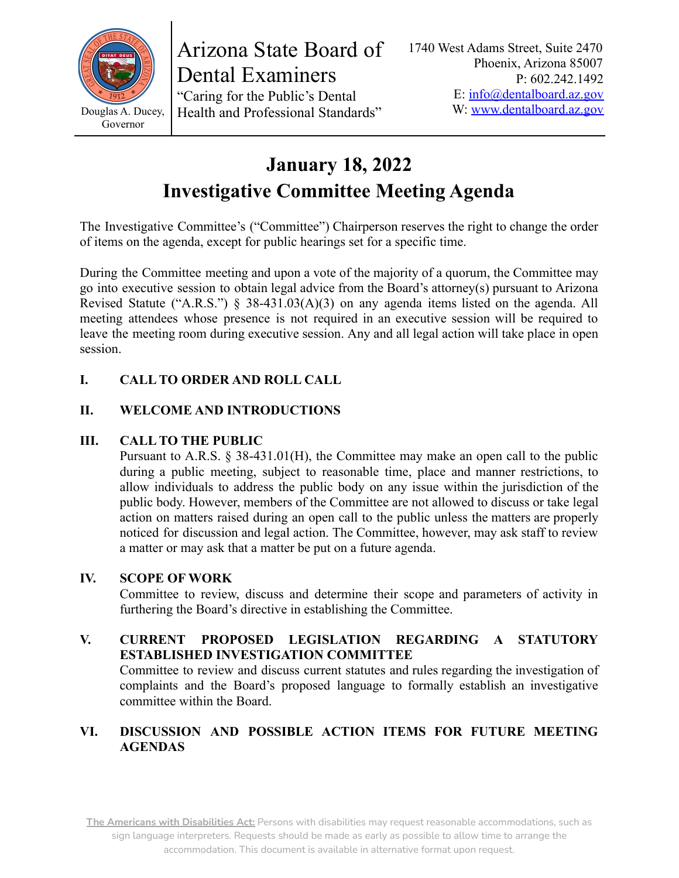

Arizona State Board of Dental Examiners "Caring for the Public's Dental Health and Professional Standards"

# **January 18, 2022 Investigative Committee Meeting Agenda**

The Investigative Committee's ("Committee") Chairperson reserves the right to change the order of items on the agenda, except for public hearings set for a specific time.

During the Committee meeting and upon a vote of the majority of a quorum, the Committee may go into executive session to obtain legal advice from the Board's attorney(s) pursuant to Arizona Revised Statute ("A.R.S.") § 38-431.03(A)(3) on any agenda items listed on the agenda. All meeting attendees whose presence is not required in an executive session will be required to leave the meeting room during executive session. Any and all legal action will take place in open session.

## **I. CALL TO ORDER AND ROLL CALL**

## **II. WELCOME AND INTRODUCTIONS**

#### **III. CALL TO THE PUBLIC**

Pursuant to A.R.S. § 38-431.01(H), the Committee may make an open call to the public during a public meeting, subject to reasonable time, place and manner restrictions, to allow individuals to address the public body on any issue within the jurisdiction of the public body. However, members of the Committee are not allowed to discuss or take legal action on matters raised during an open call to the public unless the matters are properly noticed for discussion and legal action. The Committee, however, may ask staff to review a matter or may ask that a matter be put on a future agenda.

#### **IV. SCOPE OF WORK**

Committee to review, discuss and determine their scope and parameters of activity in furthering the Board's directive in establishing the Committee.

#### **V. CURRENT PROPOSED LEGISLATION REGARDING A STATUTORY ESTABLISHED INVESTIGATION COMMITTEE**

Committee to review and discuss current statutes and rules regarding the investigation of complaints and the Board's proposed language to formally establish an investigative committee within the Board.

### **VI. DISCUSSION AND POSSIBLE ACTION ITEMS FOR FUTURE MEETING AGENDAS**

**The Americans with Disabilities Act:** Persons with disabilities may request reasonable accommodations, such as sign language interpreters. Requests should be made as early as possible to allow time to arrange the accommodation. This document is available in alternative format upon request.